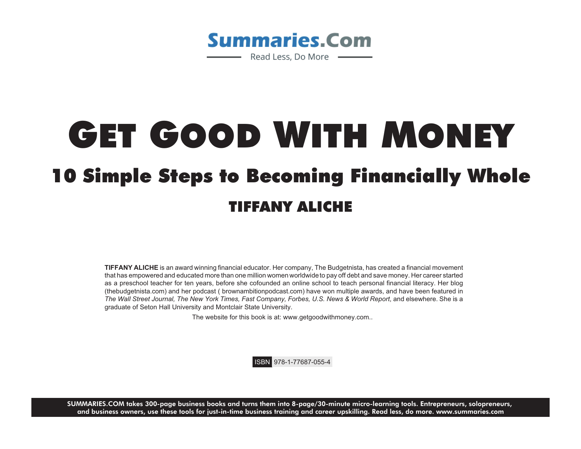

# GET GOOD WITH MONEY **O Simple Steps to Becoming Financially Who** 10 Simple Steps to Becoming Financially Financial TIFFANY ALICH

**TIFFANY ALICHE** is an award winning financial educator. Her company, The Budgetnista, has created a financial movement that has empowered and educated more than one million women worldwideto pay off debt and save money. Her career started as a preschool teacher for ten years, before she cofounded an online school to teach personal financial literacy. Her blog (thebudgetnista.com) and her podcast ( brownambitionpodcast.com) have won multiple awards, and have been featured in *The Wall Street Journal, The New York Times, Fast Company, Forbes, U.S. News & World Report*, and elsewhere. She is a graduate of Seton Hall University and Montclair State University.

The website for this book is at: www.getgoodwithmoney.com..

ISBN 978-1-77687-055-4

**SUMMARIES.COM** takes 300-page business books and turns them into 8-page/30-minute micro-learning tools. Entrepreneurs, solopreneurs, and business owners, use these tools for just-in-time business training and career upskilling. Read less, do more. www.summaries.com